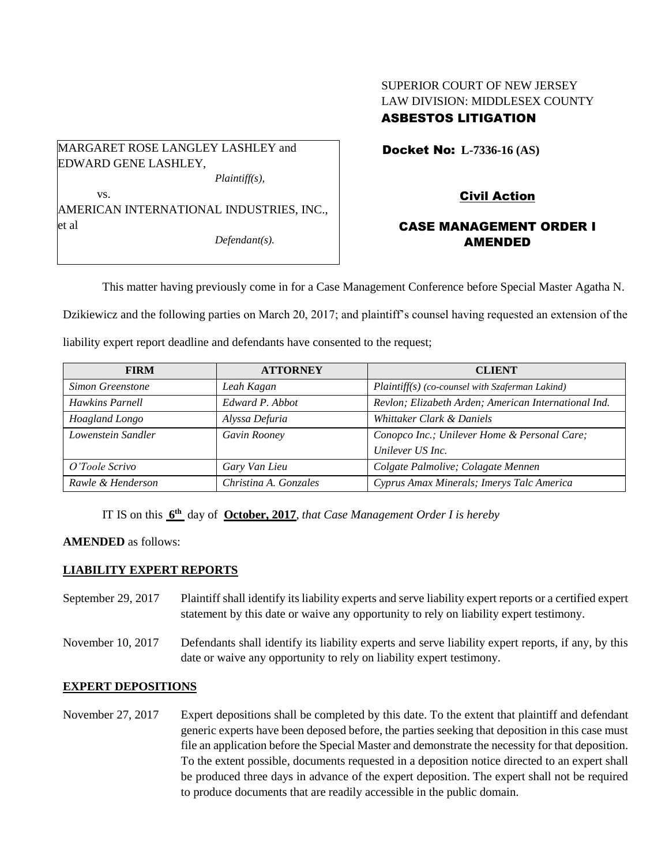# SUPERIOR COURT OF NEW JERSEY LAW DIVISION: MIDDLESEX COUNTY ASBESTOS LITIGATION

MARGARET ROSE LANGLEY LASHLEY and EDWARD GENE LASHLEY, *Plaintiff(s),* vs.

AMERICAN INTERNATIONAL INDUSTRIES, INC., et al

*Defendant(s).*

Docket No: **L-7336-16 (AS)** 

# Civil Action

# CASE MANAGEMENT ORDER I AMENDED

This matter having previously come in for a Case Management Conference before Special Master Agatha N.

Dzikiewicz and the following parties on March 20, 2017; and plaintiff's counsel having requested an extension of the

liability expert report deadline and defendants have consented to the request;

| <b>FIRM</b>        | <b>ATTORNEY</b>       | <b>CLIENT</b>                                        |
|--------------------|-----------------------|------------------------------------------------------|
| Simon Greenstone   | Leah Kagan            | $Plaintiff(s)$ (co-counsel with Szaferman Lakind)    |
| Hawkins Parnell    | Edward P. Abbot       | Revlon; Elizabeth Arden; American International Ind. |
| Hoagland Longo     | Alyssa Defuria        | Whittaker Clark & Daniels                            |
| Lowenstein Sandler | Gavin Rooney          | Conopco Inc.; Unilever Home & Personal Care;         |
|                    |                       | Unilever US Inc.                                     |
| O'Toole Scrivo     | Gary Van Lieu         | Colgate Palmolive; Colagate Mennen                   |
| Rawle & Henderson  | Christina A. Gonzales | Cyprus Amax Minerals; Imerys Talc America            |

IT IS on this **6 th** day of **October, 2017**, *that Case Management Order I is hereby*

## **AMENDED** as follows:

### **LIABILITY EXPERT REPORTS**

- September 29, 2017 Plaintiff shall identify its liability experts and serve liability expert reports or a certified expert statement by this date or waive any opportunity to rely on liability expert testimony.
- November 10, 2017 Defendants shall identify its liability experts and serve liability expert reports, if any, by this date or waive any opportunity to rely on liability expert testimony.

### **EXPERT DEPOSITIONS**

November 27, 2017 Expert depositions shall be completed by this date. To the extent that plaintiff and defendant generic experts have been deposed before, the parties seeking that deposition in this case must file an application before the Special Master and demonstrate the necessity for that deposition. To the extent possible, documents requested in a deposition notice directed to an expert shall be produced three days in advance of the expert deposition. The expert shall not be required to produce documents that are readily accessible in the public domain.